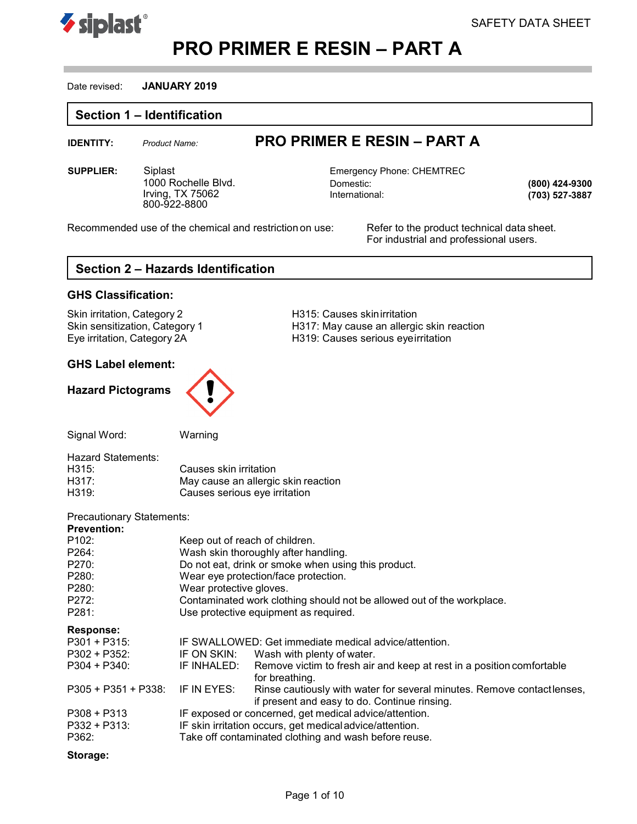



### Date revised: **JANUARY 2019**

### **Section 1 – Identification**

# **IDENTITY:** *Product Name:* **PRO PRIMER E RESIN – PART A**

**SUPPLIER:** Siplast **Emergency Phone: CHEMTREC** 1000 Rochelle Blvd. Irving, TX 75062 800-922-8800

Domestic: International:

**(800) 424-9300 (703) 527-3887**

Recommended use of the chemical and restriction on use: Refer to the product technical data sheet.

For industrial and professional users.

# **Section 2 – Hazards Identification**

### **GHS Classification:**

Skin irritation, Category 2 **H315: Causes skinirritation** 

### **GHS Label element:**

### **Hazard Pictograms**



Skin sensitization, Category 1 **H317:** May cause an allergic skin reaction Eye irritation, Category 2A H319: Causes serious eyeirritation

Signal Word: Warning

| <b>Hazard Statements:</b> |                                     |
|---------------------------|-------------------------------------|
| H315:                     | Causes skin irritation              |
| H317:                     | May cause an allergic skin reaction |
| H319:                     | Causes serious eye irritation       |
|                           |                                     |

### Precautionary Statements:

| <b>Prevention:</b>   |                                                                        |                                                                                                                        |
|----------------------|------------------------------------------------------------------------|------------------------------------------------------------------------------------------------------------------------|
| P <sub>102</sub> :   | Keep out of reach of children.                                         |                                                                                                                        |
| P264:                | Wash skin thoroughly after handling.                                   |                                                                                                                        |
| P270:                |                                                                        | Do not eat, drink or smoke when using this product.                                                                    |
| P280:                |                                                                        | Wear eye protection/face protection.                                                                                   |
| P <sub>280</sub> :   | Wear protective gloves.                                                |                                                                                                                        |
| P272:                | Contaminated work clothing should not be allowed out of the workplace. |                                                                                                                        |
| P281:                | Use protective equipment as required.                                  |                                                                                                                        |
| <b>Response:</b>     |                                                                        |                                                                                                                        |
| $P301 + P315$        |                                                                        | IF SWALLOWED: Get immediate medical advice/attention.                                                                  |
| $P302 + P352$ :      |                                                                        | IF ON SKIN: Wash with plenty of water.                                                                                 |
| $P304 + P340$ :      | IF INHALED:                                                            | Remove victim to fresh air and keep at rest in a position comfortable<br>for breathing.                                |
| $P305 + P351 + P338$ | IF IN EYES:                                                            | Rinse cautiously with water for several minutes. Remove contactlenses,<br>if present and easy to do. Continue rinsing. |
| $P308 + P313$        |                                                                        | IF exposed or concerned, get medical advice/attention.                                                                 |
| $P332 + P313$        |                                                                        | IF skin irritation occurs, get medical advice/attention.                                                               |
| P362:                |                                                                        | Take off contaminated clothing and wash before reuse.                                                                  |

### **Storage:**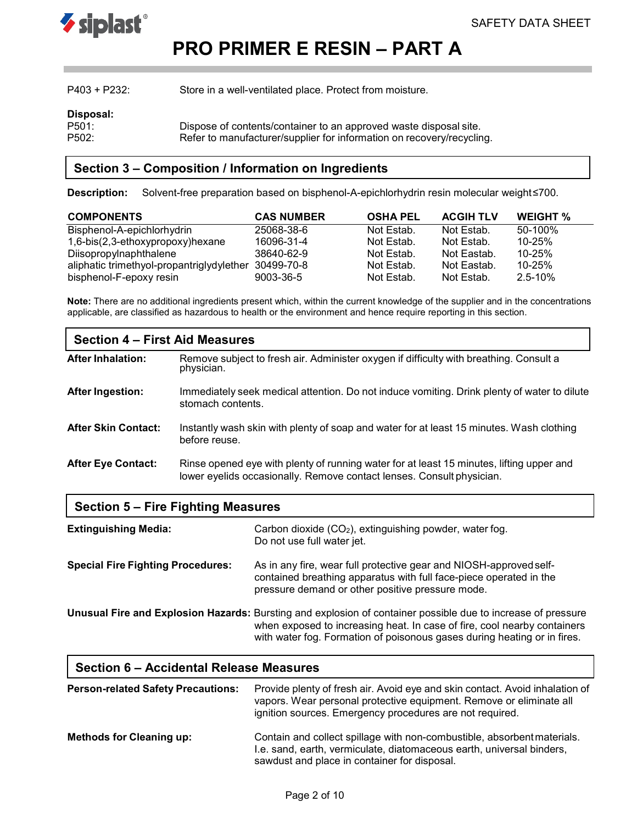

| $P403 + P232$ :             | Store in a well-ventilated place. Protect from moisture.                                                                                   |
|-----------------------------|--------------------------------------------------------------------------------------------------------------------------------------------|
| Disposal:                   |                                                                                                                                            |
| P <sub>501</sub> :<br>P502: | Dispose of contents/container to an approved waste disposal site.<br>Refer to manufacturer/supplier for information on recovery/recycling. |

# **Section 3 – Composition / Information on Ingredients**

**Description:** Solvent-free preparation based on bisphenol-A-epichlorhydrin resin molecular weight≤700.

| <b>COMPONENTS</b>                         | <b>CAS NUMBER</b> | <b>OSHA PEL</b> | <b>ACGIH TLV</b> | <b>WEIGHT %</b> |
|-------------------------------------------|-------------------|-----------------|------------------|-----------------|
| Bisphenol-A-epichlorhydrin                | 25068-38-6        | Not Estab.      | Not Estab.       | $50-100\%$      |
| 1,6-bis(2,3-ethoxypropoxy)hexane          | 16096-31-4        | Not Estab.      | Not Estab.       | $10 - 25%$      |
| Diisopropylnaphthalene                    | 38640-62-9        | Not Estab.      | Not Eastab.      | $10 - 25%$      |
| aliphatic trimethyol-propantriglydylether | 30499-70-8        | Not Estab.      | Not Eastab.      | $10 - 25%$      |
| bisphenol-F-epoxy resin                   | 9003-36-5         | Not Estab.      | Not Estab.       | $2.5 - 10%$     |

**Note:** There are no additional ingredients present which, within the current knowledge of the supplier and in the concentrations applicable, are classified as hazardous to health or the environment and hence require reporting in this section.

| Section 4 – First Aid Measures |                                                                                                                                                                   |  |  |
|--------------------------------|-------------------------------------------------------------------------------------------------------------------------------------------------------------------|--|--|
| <b>After Inhalation:</b>       | Remove subject to fresh air. Administer oxygen if difficulty with breathing. Consult a<br>physician.                                                              |  |  |
| <b>After Ingestion:</b>        | Immediately seek medical attention. Do not induce vomiting. Drink plenty of water to dilute<br>stomach contents.                                                  |  |  |
| <b>After Skin Contact:</b>     | Instantly wash skin with plenty of soap and water for at least 15 minutes. Wash clothing<br>before reuse.                                                         |  |  |
| <b>After Eye Contact:</b>      | Rinse opened eye with plenty of running water for at least 15 minutes, lifting upper and<br>lower eyelids occasionally. Remove contact lenses. Consult physician. |  |  |

| Section 5 – Fire Fighting Measures |  |  |
|------------------------------------|--|--|
|------------------------------------|--|--|

| <b>Extinguishing Media:</b>              | Carbon dioxide (CO <sub>2</sub> ), extinguishing powder, water fog.<br>Do not use full water jet.                                                                                                                                                                    |
|------------------------------------------|----------------------------------------------------------------------------------------------------------------------------------------------------------------------------------------------------------------------------------------------------------------------|
| <b>Special Fire Fighting Procedures:</b> | As in any fire, wear full protective gear and NIOSH-approved self-<br>contained breathing apparatus with full face-piece operated in the<br>pressure demand or other positive pressure mode.                                                                         |
|                                          | Unusual Fire and Explosion Hazards: Bursting and explosion of container possible due to increase of pressure<br>when exposed to increasing heat. In case of fire, cool nearby containers<br>with water fog. Formation of poisonous gases during heating or in fires. |

| Section 6 – Accidental Release Measures   |                                                                                                                                                                                                                 |  |
|-------------------------------------------|-----------------------------------------------------------------------------------------------------------------------------------------------------------------------------------------------------------------|--|
| <b>Person-related Safety Precautions:</b> | Provide plenty of fresh air. Avoid eye and skin contact. Avoid inhalation of<br>vapors. Wear personal protective equipment. Remove or eliminate all<br>ignition sources. Emergency procedures are not required. |  |
| <b>Methods for Cleaning up:</b>           | Contain and collect spillage with non-combustible, absorbent materials.<br>I.e. sand, earth, vermiculate, diatomaceous earth, universal binders,<br>sawdust and place in container for disposal.                |  |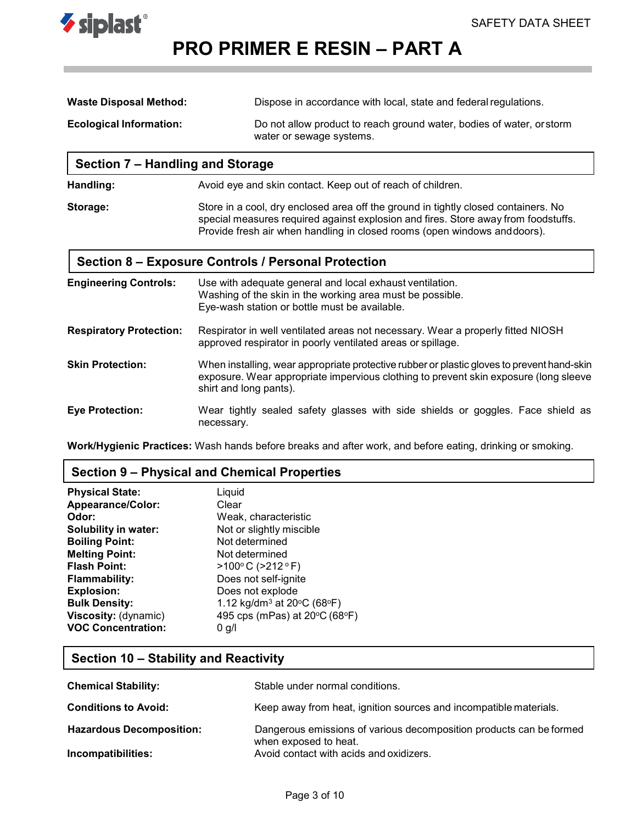

| <b>Waste Disposal Method:</b>  | Dispose in accordance with local, state and federal regulations.      |
|--------------------------------|-----------------------------------------------------------------------|
| <b>Ecological Information:</b> | Do not allow product to reach ground water, bodies of water, or storm |
|                                | water or sewage systems.                                              |

| Section 7 – Handling and Storage |                                                                                                                                                                                                                                                       |  |
|----------------------------------|-------------------------------------------------------------------------------------------------------------------------------------------------------------------------------------------------------------------------------------------------------|--|
| Handling:                        | Avoid eye and skin contact. Keep out of reach of children.                                                                                                                                                                                            |  |
| Storage:                         | Store in a cool, dry enclosed area off the ground in tightly closed containers. No<br>special measures required against explosion and fires. Store away from foodstuffs.<br>Provide fresh air when handling in closed rooms (open windows and doors). |  |
|                                  | Section 8 – Exposure Controls / Personal Protection                                                                                                                                                                                                   |  |
| <b>Engineering Controls:</b>     | Use with adequate general and local exhaust ventilation.<br>Weeking of the akin in the werking area must be peopible.                                                                                                                                 |  |

|                                | Washing of the skin in the working area must be possible.<br>Eye-wash station or bottle must be available.                                                                                                   |
|--------------------------------|--------------------------------------------------------------------------------------------------------------------------------------------------------------------------------------------------------------|
| <b>Respiratory Protection:</b> | Respirator in well ventilated areas not necessary. Wear a properly fitted NIOSH<br>approved respirator in poorly ventilated areas or spillage.                                                               |
| <b>Skin Protection:</b>        | When installing, wear appropriate protective rubber or plastic gloves to prevent hand-skin<br>exposure. Wear appropriate impervious clothing to prevent skin exposure (long sleeve<br>shirt and long pants). |
| <b>Eve Protection:</b>         | Wear tightly sealed safety glasses with side shields or goggles. Face shield as<br>necessary.                                                                                                                |

**Work/Hygienic Practices:** Wash hands before breaks and after work, and before eating, drinking or smoking.

# **Section 9 – Physical and Chemical Properties**

| <b>Physical State:</b>      | Liquid                                                                |
|-----------------------------|-----------------------------------------------------------------------|
| Appearance/Color:           | Clear                                                                 |
| Odor:                       | Weak, characteristic                                                  |
| <b>Solubility in water:</b> | Not or slightly miscible                                              |
| <b>Boiling Point:</b>       | Not determined                                                        |
| <b>Melting Point:</b>       | Not determined                                                        |
| <b>Flash Point:</b>         | $>100^{\circ}$ C ( $>212^{\circ}$ F)                                  |
| <b>Flammability:</b>        | Does not self-ignite                                                  |
| <b>Explosion:</b>           | Does not explode                                                      |
| <b>Bulk Density:</b>        | 1.12 kg/dm <sup>3</sup> at 20 $\rm{^{\circ}C}$ (68 $\rm{^{\circ}F}$ ) |
| Viscosity: (dynamic)        | 495 cps (mPas) at 20°C (68°F)                                         |
| <b>VOC Concentration:</b>   | 0 g/l                                                                 |

# **Section 10 – Stability and Reactivity**

| <b>Chemical Stability:</b>      | Stable under normal conditions.                                                              |
|---------------------------------|----------------------------------------------------------------------------------------------|
| <b>Conditions to Avoid:</b>     | Keep away from heat, ignition sources and incompatible materials.                            |
| <b>Hazardous Decomposition:</b> | Dangerous emissions of various decomposition products can be formed<br>when exposed to heat. |
| Incompatibilities:              | Avoid contact with acids and oxidizers.                                                      |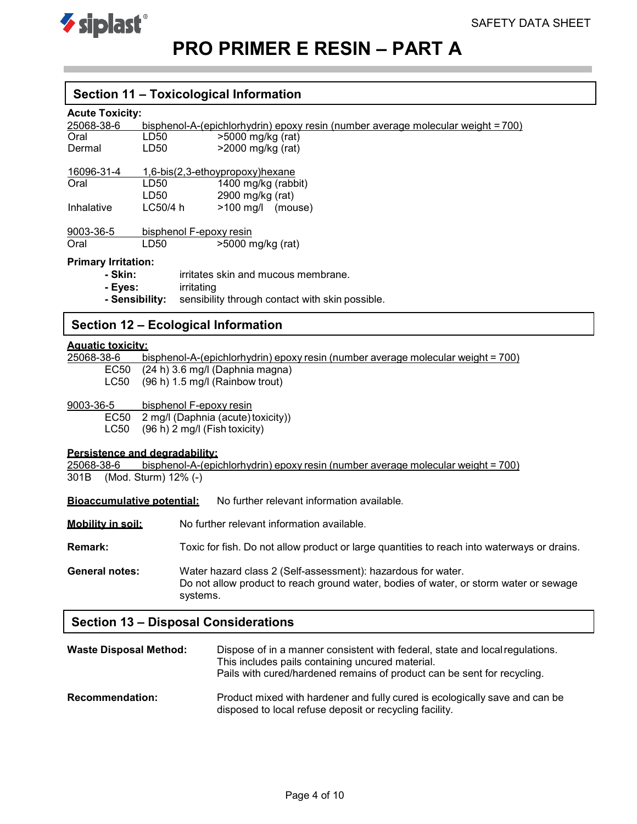

### **Section 11 – Toxicological Information**

### **Acute Toxicity:**

| 25068-38-6                                                        |                         | bisphenol-A-(epichlorhydrin) epoxy resin (number average molecular weight = 700) |
|-------------------------------------------------------------------|-------------------------|----------------------------------------------------------------------------------|
| Oral                                                              | LD50                    | >5000 mg/kg (rat)                                                                |
| Dermal                                                            | LD50                    | $>$ 2000 mg/kg (rat)                                                             |
| 16096-31-4                                                        |                         | $1,6-bis(2,3-ethoypropoxy)$ hexane                                               |
| Oral                                                              | LD50                    | 1400 mg/kg (rabbit)                                                              |
|                                                                   | LD50                    | 2900 mg/kg (rat)                                                                 |
| Inhalative                                                        | LCS <sub>0</sub> /4 h   | $>100 \text{ mg/l}$ (mouse)                                                      |
| 9003-36-5                                                         | bisphenol F-epoxy resin |                                                                                  |
| Oral                                                              | LD50                    | $>5000$ mg/kg (rat)                                                              |
| <b>Primary Irritation:</b>                                        |                         |                                                                                  |
| - Skin:                                                           |                         | irritates skin and mucous membrane.                                              |
| - Eves:                                                           | irritating              |                                                                                  |
| sensibility through contact with skin possible.<br>- Sensibility: |                         |                                                                                  |

# **Section 12 – Ecological Information**

# **Aquatic toxicity:**

bisphenol-A-(epichlorhydrin) epoxy resin (number average molecular weight = 700)

- EC50 (24 h) 3.6 mg/l (Daphnia magna)
- LC50 (96 h) 1.5 mg/l (Rainbow trout)
- 9003-36-5 bisphenol F-epoxy resin

EC50 2 mg/l (Daphnia (acute)toxicity))

LC50 (96 h) 2 mg/l (Fish toxicity)

**Persistence and degradability:**

25068-38-6 bisphenol-A-(epichlorhydrin) epoxy resin (number average molecular weight = 700) 301B (Mod. Sturm) 12% (-)

**Bioaccumulative potential:** No further relevant information available.

**Mobility in soil:** No further relevant information available.

**Remark:** Toxic for fish. Do not allow product or large quantities to reach into waterways or drains.

**General notes:** Water hazard class 2 (Self-assessment): hazardous for water. Do not allow product to reach ground water, bodies of water, or storm water or sewage systems.

### **Section 13 – Disposal Considerations**

| <b>Waste Disposal Method:</b> | Dispose of in a manner consistent with federal, state and local regulations.<br>This includes pails containing uncured material.<br>Pails with cured/hardened remains of product can be sent for recycling. |
|-------------------------------|-------------------------------------------------------------------------------------------------------------------------------------------------------------------------------------------------------------|
| <b>Recommendation:</b>        | Product mixed with hardener and fully cured is ecologically save and can be<br>disposed to local refuse deposit or recycling facility.                                                                      |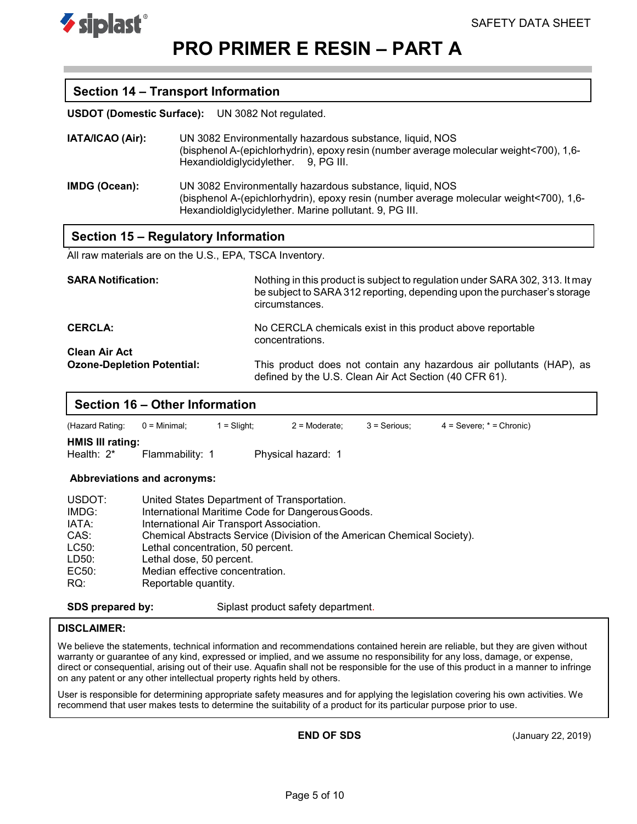

### **Section 14 – Transport Information**

**USDOT (Domestic Surface):** UN 3082 Not regulated.

- **IATA/ICAO (Air):** UN 3082 Environmentally hazardous substance, liquid, NOS (bisphenol A-(epichlorhydrin), epoxy resin (number average molecular weight<700), 1,6- Hexandioldiglycidylether. 9, PG III.
- **IMDG (Ocean):** UN 3082 Environmentally hazardous substance, liquid, NOS (bisphenol A-(epichlorhydrin), epoxy resin (number average molecular weight<700), 1,6- Hexandioldiglycidylether. Marine pollutant. 9, PG III.

### **Section 15 – Regulatory Information**

. All raw materials are on the U.S., EPA, TSCA Inventory.

| <b>SARA Notification:</b>         | Nothing in this product is subject to regulation under SARA 302, 313. It may<br>be subject to SARA 312 reporting, depending upon the purchaser's storage<br>circumstances. |
|-----------------------------------|----------------------------------------------------------------------------------------------------------------------------------------------------------------------------|
| <b>CERCLA:</b>                    | No CERCLA chemicals exist in this product above reportable<br>concentrations.                                                                                              |
| <b>Clean Air Act</b>              |                                                                                                                                                                            |
| <b>Ozone-Depletion Potential:</b> | This product does not contain any hazardous air pollutants (HAP), as<br>defined by the U.S. Clean Air Act Section (40 CFR 61).                                             |

### **Section 16 – Other Information**

(Hazard Rating: 0 = Minimal; 1 = Slight; 2 = Moderate; 3 = Serious; 4 = Severe; \* = Chronic)

**HMIS III rating:**<br>Health: 2\*

Flammability: 1 Physical hazard: 1

#### **Abbreviations and acronyms:**

| USDOT: | United States Department of Transportation.                             |
|--------|-------------------------------------------------------------------------|
| IMDG:  | International Maritime Code for Dangerous Goods.                        |
| IATA:  | International Air Transport Association.                                |
| CAS:   | Chemical Abstracts Service (Division of the American Chemical Society). |
| LC50:  | Lethal concentration, 50 percent.                                       |
| LD50:  | Lethal dose, 50 percent.                                                |
| EC50:  | Median effective concentration.                                         |
| RQ:    | Reportable quantity.                                                    |
|        |                                                                         |

**SDS** prepared by: Siplast product safety department.

### **DISCLAIMER:**

We believe the statements, technical information and recommendations contained herein are reliable, but they are given without warranty or guarantee of any kind, expressed or implied, and we assume no responsibility for any loss, damage, or expense, direct or consequential, arising out of their use. Aquafin shall not be responsible for the use of this product in a manner to infringe on any patent or any other intellectual property rights held by others.

User is responsible for determining appropriate safety measures and for applying the legislation covering his own activities. We recommend that user makes tests to determine the suitability of a product for its particular purpose prior to use.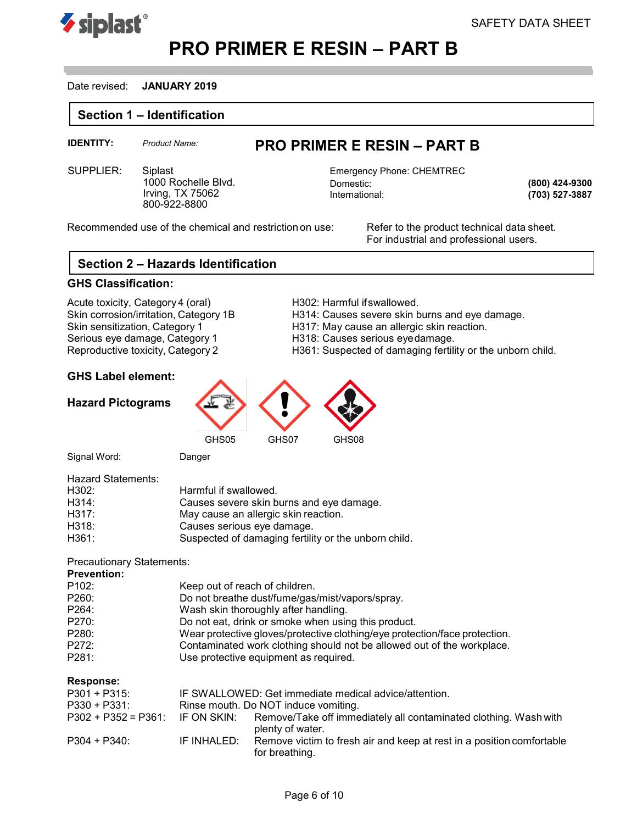



### Date revised: **JANUARY 2019**

### **Section 1 – Identification**

# **IDENTITY:** *Product Name:* **PRO PRIMER E RESIN – PART B**

SUPPLIER: Siplast Emergency Phone: CHEMTREC 1000 Rochelle Blvd. Irving, TX 75062 800-922-8800

Domestic: International:

**(800) 424-9300 (703) 527-3887**

Recommended use of the chemical and restriction on use: Refer to the product technical data sheet.

For industrial and professional users.

# **Section 2 – Hazards Identification**

### **GHS Classification:**

Acute toxicity, Category 4 (oral) <br>
Skin corrosion/irritation, Category 1B H314: Causes severe skin b Skin sensitization, Category 1 Fig. 1917: May cause an allergic skin reaction.<br>Serious eye damage, Category 1 Fig. 218: Causes serious eyedamage. Serious eye damage, Category 1 Final Hart Hart Hart Causes serious eye damage.<br>Reproductive toxicity, Category 2 Final Hart Hart Hart Hart Causpected of damaging fertili

- H314: Causes severe skin burns and eye damage.
- 
- 
- H361: Suspected of damaging fertility or the unborn child.

### **GHS Label element:**

### **Hazard Pictograms**



GHS07 GHS08

Signal Word: Danger

| <b>Hazard Statements:</b> |                                                      |
|---------------------------|------------------------------------------------------|
| H302:                     | Harmful if swallowed.                                |
| H314:                     | Causes severe skin burns and eye damage.             |
| H317:                     | May cause an allergic skin reaction.                 |
| H318:                     | Causes serious eye damage.                           |
| H361:                     | Suspected of damaging fertility or the unborn child. |

### Precautionary Statements:

| <b>Prevention:</b> |                                                                            |
|--------------------|----------------------------------------------------------------------------|
| P102:              | Keep out of reach of children.                                             |
| P260:              | Do not breathe dust/fume/gas/mist/vapors/spray.                            |
| P264:              | Wash skin thoroughly after handling.                                       |
| P270:              | Do not eat, drink or smoke when using this product.                        |
| P280:              | Wear protective gloves/protective clothing/eye protection/face protection. |
| P272:              | Contaminated work clothing should not be allowed out of the workplace.     |
| P281:              | Use protective equipment as required.                                      |
|                    |                                                                            |

### **Response:**

| $P301 + P315$                      |             | IF SWALLOWED: Get immediate medical advice/attention.                                   |
|------------------------------------|-------------|-----------------------------------------------------------------------------------------|
| $P330 + P331$                      |             | Rinse mouth. Do NOT induce vomiting.                                                    |
| $P302 + P352 = P361$ : IF ON SKIN: |             | Remove/Take off immediately all contaminated clothing. Wash with<br>plenty of water.    |
| $P304 + P340$                      | IF INHALED: | Remove victim to fresh air and keep at rest in a position comfortable<br>for breathing. |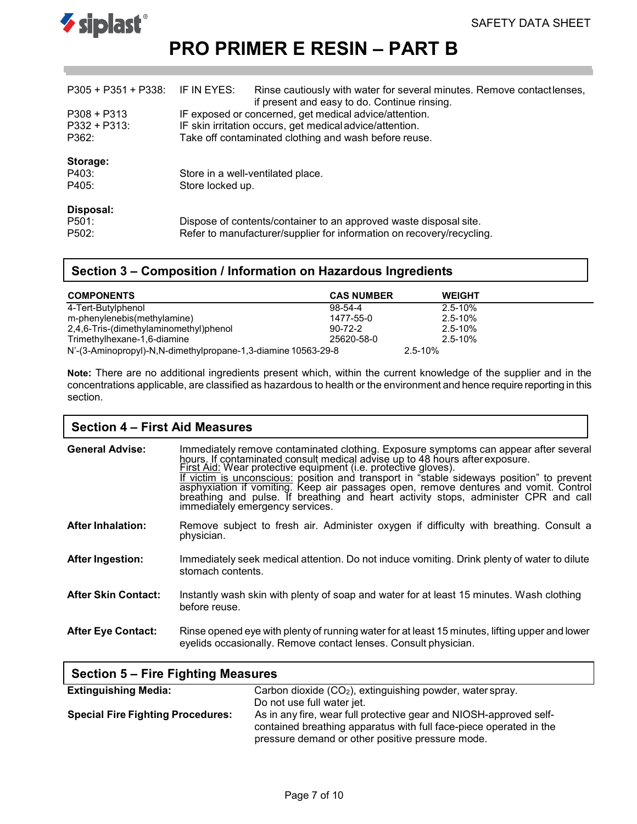



| P305 + P351 + P338: IF IN EYES: |                                                          | Rinse cautiously with water for several minutes. Remove contactlenses,<br>if present and easy to do. Continue rinsing. |  |
|---------------------------------|----------------------------------------------------------|------------------------------------------------------------------------------------------------------------------------|--|
| $P308 + P313$                   |                                                          | IF exposed or concerned, get medical advice/attention.                                                                 |  |
| $P332 + P313$                   | IF skin irritation occurs, get medical advice/attention. |                                                                                                                        |  |
| P362:                           | Take off contaminated clothing and wash before reuse.    |                                                                                                                        |  |
| Storage:                        |                                                          |                                                                                                                        |  |
| P403:                           | Store in a well-ventilated place.                        |                                                                                                                        |  |
| P405:                           | Store locked up.                                         |                                                                                                                        |  |
| Disposal:                       |                                                          |                                                                                                                        |  |
| P501:                           |                                                          | Dispose of contents/container to an approved waste disposal site.                                                      |  |
| P <sub>502</sub> :              |                                                          | Refer to manufacturer/supplier for information on recovery/recycling.                                                  |  |

# **Section 3 – Composition / Information on Hazardous Ingredients**

| <b>COMPONENTS</b>                                             | <b>CAS NUMBER</b> | <b>WEIGHT</b> |  |
|---------------------------------------------------------------|-------------------|---------------|--|
| 4-Tert-Butylphenol                                            | 98-54-4           | $2.5 - 10\%$  |  |
| m-phenylenebis(methylamine)                                   | 1477-55-0         | $2.5 - 10%$   |  |
| 2,4,6-Tris-(dimethylaminomethyl)phenol                        | $90 - 72 - 2$     | $2.5 - 10%$   |  |
| Trimethylhexane-1,6-diamine                                   | 25620-58-0        | $2.5 - 10%$   |  |
| N'-(3-Aminopropyl)-N,N-dimethylpropane-1,3-diamine 10563-29-8 |                   | 2.5-10%       |  |

**Note:** There are no additional ingredients present which, within the current knowledge of the supplier and in the concentrations applicable, are classified as hazardous to health or the environment and hence require reporting in this section.

### **Section 4 – First Aid Measures**

| <b>General Advise:</b>     | Immediately remove contaminated clothing. Exposure symptoms can appear after several<br>hours. If contaminated consult medical advise up to 48 hours after exposure.<br>First Aid: Wear protective equipment (i.e. protective gloves).<br>If victim is unconscious: position and transport in "stable sideways position" to prevent<br>asphyxiation if vomiting. Keep air passages open, remove dentures and vomit. Control<br>breathing and pulse. If breathing and heart activity stops, administer CPR and call<br>immediately emergency services. |
|----------------------------|-------------------------------------------------------------------------------------------------------------------------------------------------------------------------------------------------------------------------------------------------------------------------------------------------------------------------------------------------------------------------------------------------------------------------------------------------------------------------------------------------------------------------------------------------------|
| <b>After Inhalation:</b>   | Remove subject to fresh air. Administer oxygen if difficulty with breathing. Consult a<br>physician.                                                                                                                                                                                                                                                                                                                                                                                                                                                  |
| <b>After Ingestion:</b>    | Immediately seek medical attention. Do not induce vomiting. Drink plenty of water to dilute<br>stomach contents.                                                                                                                                                                                                                                                                                                                                                                                                                                      |
| <b>After Skin Contact:</b> | Instantly wash skin with plenty of soap and water for at least 15 minutes. Wash clothing<br>before reuse.                                                                                                                                                                                                                                                                                                                                                                                                                                             |
| <b>After Eye Contact:</b>  | Rinse opened eye with plenty of running water for at least 15 minutes, lifting upper and lower<br>eyelids occasionally. Remove contact lenses. Consult physician.                                                                                                                                                                                                                                                                                                                                                                                     |

| Section 5 – Fire Fighting Measures       |                                                                                                                                                                                              |  |
|------------------------------------------|----------------------------------------------------------------------------------------------------------------------------------------------------------------------------------------------|--|
| <b>Extinguishing Media:</b>              | Carbon dioxide (CO <sub>2</sub> ), extinguishing powder, water spray.                                                                                                                        |  |
|                                          | Do not use full water jet.                                                                                                                                                                   |  |
| <b>Special Fire Fighting Procedures:</b> | As in any fire, wear full protective gear and NIOSH-approved self-<br>contained breathing apparatus with full face-piece operated in the<br>pressure demand or other positive pressure mode. |  |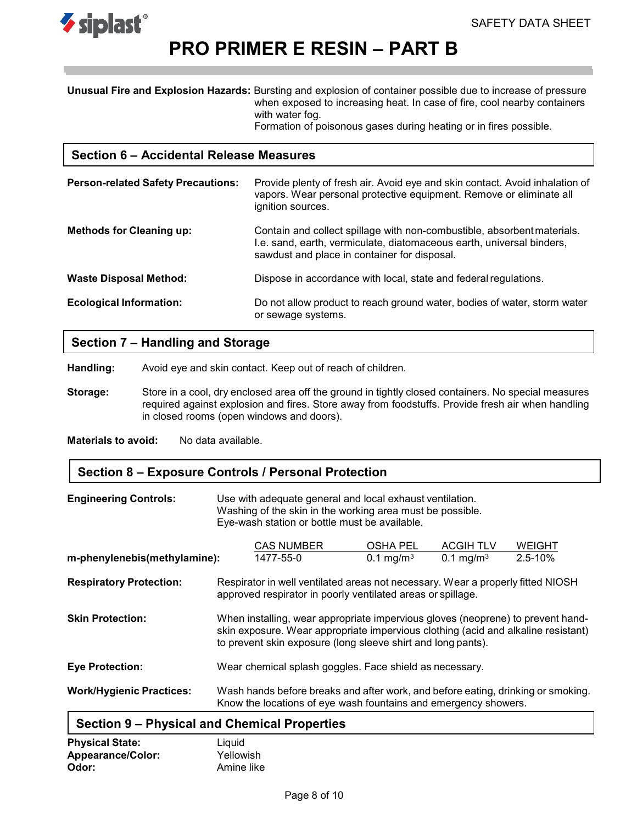

**Unusual Fire and Explosion Hazards:** Bursting and explosion of container possible due to increase of pressure when exposed to increasing heat. In case of fire, cool nearby containers with water fog.

Formation of poisonous gases during heating or in fires possible.

### **Section 6 – Accidental Release Measures**

| <b>Person-related Safety Precautions:</b> | Provide plenty of fresh air. Avoid eye and skin contact. Avoid inhalation of<br>vapors. Wear personal protective equipment. Remove or eliminate all<br>ignition sources.                         |
|-------------------------------------------|--------------------------------------------------------------------------------------------------------------------------------------------------------------------------------------------------|
| <b>Methods for Cleaning up:</b>           | Contain and collect spillage with non-combustible, absorbent materials.<br>I.e. sand, earth, vermiculate, diatomaceous earth, universal binders,<br>sawdust and place in container for disposal. |
| <b>Waste Disposal Method:</b>             | Dispose in accordance with local, state and federal regulations.                                                                                                                                 |
| <b>Ecological Information:</b>            | Do not allow product to reach ground water, bodies of water, storm water<br>or sewage systems.                                                                                                   |

# **Section 7 – Handling and Storage**

**Handling:** Avoid eye and skin contact. Keep out of reach of children.

**Storage:** Store in a cool, dry enclosed area off the ground in tightly closed containers. No special measures required against explosion and fires. Store away from foodstuffs. Provide fresh air when handling in closed rooms (open windows and doors).

**Materials to avoid:** No data available.

### **Section 8 – Exposure Controls / Personal Protection**

| <b>Engineering Controls:</b>                        | Use with adequate general and local exhaust ventilation.<br>Washing of the skin in the working area must be possible.<br>Eye-wash station or bottle must be available.                                                               |                                                                                                                                                     |                                     |                                           |                              |
|-----------------------------------------------------|--------------------------------------------------------------------------------------------------------------------------------------------------------------------------------------------------------------------------------------|-----------------------------------------------------------------------------------------------------------------------------------------------------|-------------------------------------|-------------------------------------------|------------------------------|
| m-phenylenebis(methylamine):                        |                                                                                                                                                                                                                                      | <b>CAS NUMBER</b><br>1477-55-0                                                                                                                      | OSHA PEL<br>$0.1 \,\mathrm{mg/m^3}$ | <b>ACGIH TLV</b><br>0.1 mg/m <sup>3</sup> | <b>WEIGHT</b><br>$2.5 - 10%$ |
|                                                     |                                                                                                                                                                                                                                      |                                                                                                                                                     |                                     |                                           |                              |
| <b>Respiratory Protection:</b>                      |                                                                                                                                                                                                                                      | Respirator in well ventilated areas not necessary. Wear a properly fitted NIOSH<br>approved respirator in poorly ventilated areas or spillage.      |                                     |                                           |                              |
| <b>Skin Protection:</b>                             | When installing, wear appropriate impervious gloves (neoprene) to prevent hand-<br>skin exposure. Wear appropriate impervious clothing (acid and alkaline resistant)<br>to prevent skin exposure (long sleeve shirt and long pants). |                                                                                                                                                     |                                     |                                           |                              |
| <b>Eye Protection:</b>                              |                                                                                                                                                                                                                                      | Wear chemical splash goggles. Face shield as necessary.                                                                                             |                                     |                                           |                              |
| <b>Work/Hygienic Practices:</b>                     |                                                                                                                                                                                                                                      | Wash hands before breaks and after work, and before eating, drinking or smoking.<br>Know the locations of eye wash fountains and emergency showers. |                                     |                                           |                              |
| <b>Section 9 – Physical and Chemical Properties</b> |                                                                                                                                                                                                                                      |                                                                                                                                                     |                                     |                                           |                              |

| Physical State:   | Liquid     |  |
|-------------------|------------|--|
| Appearance/Color: | Yellowish  |  |
| Odor:             | Amine like |  |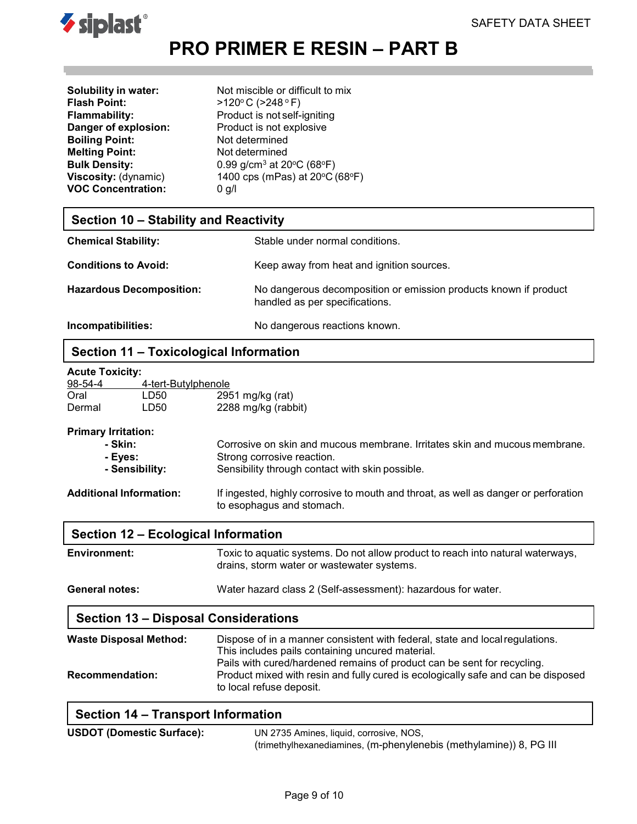

**Boiling Point:** Not determined **Melting Point:** Not determined **VOC Concentration:** 0 g/l

**Solubility in water:** Not miscible or difficult to mix<br> **Flash Point:**  $>120^{\circ}$  C (>248 °F) **Flash Point:** >120o C (>248 <sup>o</sup> F) **Flammability:** Product is not self-igniting **Danger of explosion:** Product is not explosive **Bulk Density:** 0.99 g/cm<sup>3</sup> at 20°C (68°F)<br>**Viscosity:** (dynamic) 1400 cps (mPas) at 20°C ( 1400 cps (mPas) at 20°C (68°F)

# **Section 10 – Stability and Reactivity**

| <b>Chemical Stability:</b>      | Stable under normal conditions.                                                                    |
|---------------------------------|----------------------------------------------------------------------------------------------------|
| <b>Conditions to Avoid:</b>     | Keep away from heat and ignition sources.                                                          |
| <b>Hazardous Decomposition:</b> | No dangerous decomposition or emission products known if product<br>handled as per specifications. |
| Incompatibilities:              | No dangerous reactions known.                                                                      |

# **Section 11 – Toxicological Information**

| <b>Acute Toxicity:</b>         |                            |                                                                                                                               |  |
|--------------------------------|----------------------------|-------------------------------------------------------------------------------------------------------------------------------|--|
| 98-54-4                        | <u>4-tert-Butylphenole</u> |                                                                                                                               |  |
| Oral                           | LD50                       | 2951 mg/kg (rat)                                                                                                              |  |
| Dermal                         | LD <sub>50</sub>           | 2288 mg/kg (rabbit)                                                                                                           |  |
| <b>Primary Irritation:</b>     |                            |                                                                                                                               |  |
| - Skin:                        |                            | Corrosive on skin and mucous membrane. Irritates skin and mucous membrane.                                                    |  |
| - Eyes:                        |                            | Strong corrosive reaction.                                                                                                    |  |
|                                | - Sensibility:             | Sensibility through contact with skin possible.                                                                               |  |
| <b>Additional Information:</b> |                            | If ingested, highly corrosive to mouth and throat, as well as danger or perforation<br>to esophagus and stomach.              |  |
|                                |                            | Section 12 – Ecological Information                                                                                           |  |
| <b>Environment:</b>            |                            | Toxic to aquatic systems. Do not allow product to reach into natural waterways,<br>drains, storm water or wastewater systems. |  |
| General notes:                 |                            | Water hazard class 2 (Self-assessment): hazardous for water.                                                                  |  |
|                                |                            |                                                                                                                               |  |

### **Section 13 – Disposal Considerations**

| <b>Waste Disposal Method:</b> | Dispose of in a manner consistent with federal, state and local regulations.<br>This includes pails containing uncured material.                                                         |
|-------------------------------|------------------------------------------------------------------------------------------------------------------------------------------------------------------------------------------|
| <b>Recommendation:</b>        | Pails with cured/hardened remains of product can be sent for recycling.<br>Product mixed with resin and fully cured is ecologically safe and can be disposed<br>to local refuse deposit. |

# **Section 14 – Transport Information**

| <b>USDOT (Domestic Surface):</b> | UN 2735 Amines, liquid, corrosive, NOS,                            |  |  |
|----------------------------------|--------------------------------------------------------------------|--|--|
|                                  | (trimethylhexanediamines, (m-phenylenebis (methylamine)) 8, PG III |  |  |